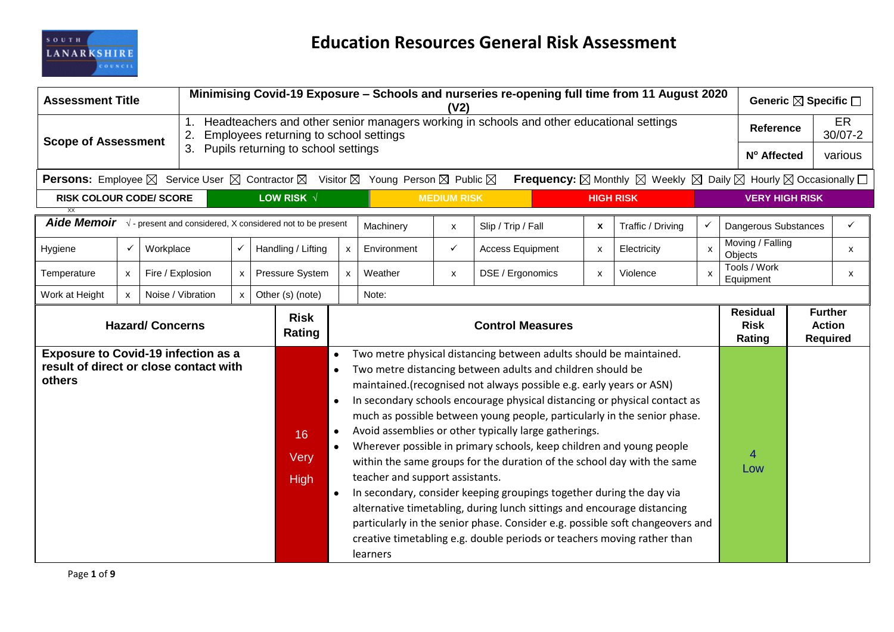

| <b>Assessment Title</b>                                                                                                                              |              |                  |                   | Minimising Covid-19 Exposure – Schools and nurseries re-opening full time from 11 August 2020<br>Generic ⊠ Specific □<br>(V <sub>2</sub> ) |                           |                                     |                                             |                         |                                                                                                                                                                                                                                                                                                                                                                                                                                                                                                                                                                                                                                                                                                                                                                                                                                                                                             |                    |                    |                                                                                                                                  |                    |                                                    |                  |                   |
|------------------------------------------------------------------------------------------------------------------------------------------------------|--------------|------------------|-------------------|--------------------------------------------------------------------------------------------------------------------------------------------|---------------------------|-------------------------------------|---------------------------------------------|-------------------------|---------------------------------------------------------------------------------------------------------------------------------------------------------------------------------------------------------------------------------------------------------------------------------------------------------------------------------------------------------------------------------------------------------------------------------------------------------------------------------------------------------------------------------------------------------------------------------------------------------------------------------------------------------------------------------------------------------------------------------------------------------------------------------------------------------------------------------------------------------------------------------------------|--------------------|--------------------|----------------------------------------------------------------------------------------------------------------------------------|--------------------|----------------------------------------------------|------------------|-------------------|
| <b>Scope of Assessment</b>                                                                                                                           |              |                  | 2.                | Headteachers and other senior managers working in schools and other educational settings<br>Employees returning to school settings         |                           |                                     |                                             |                         |                                                                                                                                                                                                                                                                                                                                                                                                                                                                                                                                                                                                                                                                                                                                                                                                                                                                                             |                    |                    |                                                                                                                                  |                    |                                                    | <b>Reference</b> | ER<br>$30/07 - 2$ |
|                                                                                                                                                      |              |                  | 3.                |                                                                                                                                            |                           | Pupils returning to school settings |                                             |                         |                                                                                                                                                                                                                                                                                                                                                                                                                                                                                                                                                                                                                                                                                                                                                                                                                                                                                             |                    |                    |                                                                                                                                  |                    | Nº Affected                                        |                  | various           |
| <b>Persons:</b> Employee $\boxtimes$ Service User $\boxtimes$ Contractor $\boxtimes$ Visitor $\boxtimes$ Young Person $\boxtimes$ Public $\boxtimes$ |              |                  |                   |                                                                                                                                            |                           |                                     |                                             |                         |                                                                                                                                                                                                                                                                                                                                                                                                                                                                                                                                                                                                                                                                                                                                                                                                                                                                                             |                    |                    | <b>Frequency:</b> $\boxtimes$ Monthly $\boxtimes$ Weekly $\boxtimes$ Daily $\boxtimes$ Hourly $\boxtimes$ Occasionally $\square$ |                    |                                                    |                  |                   |
| <b>RISK COLOUR CODE/ SCORE</b>                                                                                                                       |              |                  |                   |                                                                                                                                            |                           | LOW RISK V                          |                                             |                         | <b>MEDIUM RISK</b>                                                                                                                                                                                                                                                                                                                                                                                                                                                                                                                                                                                                                                                                                                                                                                                                                                                                          |                    |                    | <b>HIGH RISK</b>                                                                                                                 |                    | <b>VERY HIGH RISK</b>                              |                  |                   |
| XX<br>Aide Memoir $\sqrt{ }$ - present and considered, X considered not to be present                                                                |              |                  |                   |                                                                                                                                            |                           |                                     |                                             |                         |                                                                                                                                                                                                                                                                                                                                                                                                                                                                                                                                                                                                                                                                                                                                                                                                                                                                                             |                    |                    |                                                                                                                                  |                    |                                                    |                  |                   |
|                                                                                                                                                      |              |                  |                   |                                                                                                                                            |                           |                                     |                                             | Machinery               | X                                                                                                                                                                                                                                                                                                                                                                                                                                                                                                                                                                                                                                                                                                                                                                                                                                                                                           | Slip / Trip / Fall | $\pmb{\mathsf{x}}$ | Traffic / Driving                                                                                                                |                    | Dangerous Substances                               |                  | ✓                 |
| $\checkmark$<br>Workplace<br>$\checkmark$<br>Hygiene                                                                                                 |              |                  |                   | Handling / Lifting                                                                                                                         | x                         | Environment                         | ✓                                           | <b>Access Equipment</b> | X                                                                                                                                                                                                                                                                                                                                                                                                                                                                                                                                                                                                                                                                                                                                                                                                                                                                                           | Electricity        | $\mathsf{x}$       | Moving / Falling<br>Objects                                                                                                      |                    | $\mathsf{x}$                                       |                  |                   |
| Temperature                                                                                                                                          | $\mathsf{x}$ | Fire / Explosion |                   | X                                                                                                                                          |                           | Pressure System                     | x                                           | Weather                 | X                                                                                                                                                                                                                                                                                                                                                                                                                                                                                                                                                                                                                                                                                                                                                                                                                                                                                           | DSE / Ergonomics   | $\pmb{\mathsf{x}}$ | Violence                                                                                                                         | $\pmb{\mathsf{X}}$ | Tools / Work<br>Equipment                          |                  | X                 |
| Work at Height                                                                                                                                       | $\mathsf{x}$ |                  | Noise / Vibration | $\mathsf{x}$                                                                                                                               |                           | Other (s) (note)                    |                                             | Note:                   |                                                                                                                                                                                                                                                                                                                                                                                                                                                                                                                                                                                                                                                                                                                                                                                                                                                                                             |                    |                    |                                                                                                                                  |                    |                                                    |                  |                   |
| <b>Hazard/ Concerns</b>                                                                                                                              |              |                  |                   |                                                                                                                                            | <b>Risk</b><br>Rating     | <b>Control Measures</b>             |                                             |                         |                                                                                                                                                                                                                                                                                                                                                                                                                                                                                                                                                                                                                                                                                                                                                                                                                                                                                             |                    |                    | <b>Residual</b><br><b>Risk</b><br>Rating                                                                                         |                    | <b>Further</b><br><b>Action</b><br><b>Required</b> |                  |                   |
| <b>Exposure to Covid-19 infection as a</b><br>result of direct or close contact with<br>others                                                       |              |                  |                   |                                                                                                                                            | 16<br>Very<br><b>High</b> |                                     | teacher and support assistants.<br>learners |                         | Two metre physical distancing between adults should be maintained.<br>Two metre distancing between adults and children should be<br>maintained.(recognised not always possible e.g. early years or ASN)<br>In secondary schools encourage physical distancing or physical contact as<br>much as possible between young people, particularly in the senior phase.<br>Avoid assemblies or other typically large gatherings.<br>Wherever possible in primary schools, keep children and young people<br>within the same groups for the duration of the school day with the same<br>In secondary, consider keeping groupings together during the day via<br>alternative timetabling, during lunch sittings and encourage distancing<br>particularly in the senior phase. Consider e.g. possible soft changeovers and<br>creative timetabling e.g. double periods or teachers moving rather than |                    |                    |                                                                                                                                  | 4<br>Low           |                                                    |                  |                   |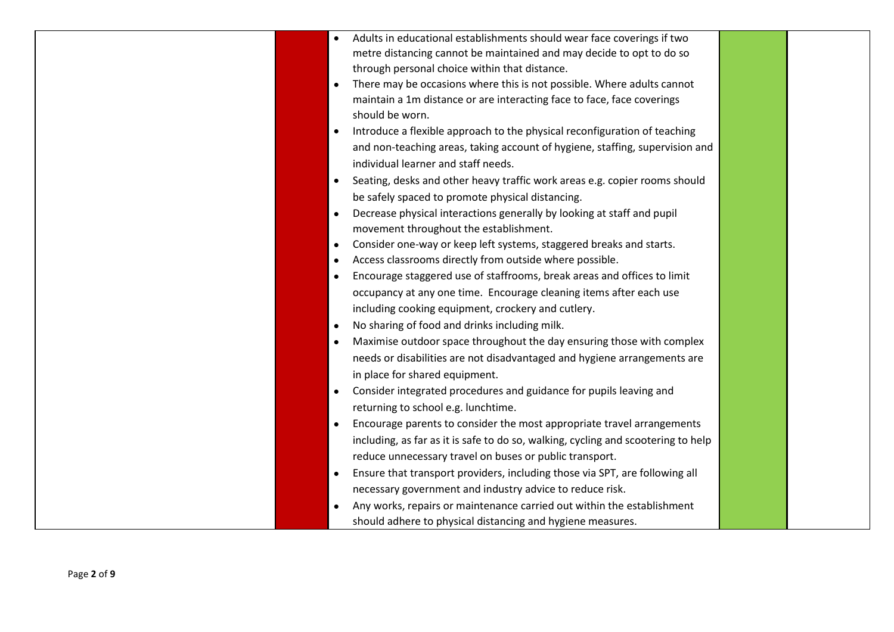| Adults in educational establishments should wear face coverings if two<br>metre distancing cannot be maintained and may decide to opt to do so<br>through personal choice within that distance.<br>There may be occasions where this is not possible. Where adults cannot<br>maintain a 1m distance or are interacting face to face, face coverings<br>should be worn.<br>Introduce a flexible approach to the physical reconfiguration of teaching<br>and non-teaching areas, taking account of hygiene, staffing, supervision and<br>individual learner and staff needs.<br>Seating, desks and other heavy traffic work areas e.g. copier rooms should<br>$\bullet$<br>be safely spaced to promote physical distancing.<br>Decrease physical interactions generally by looking at staff and pupil<br>movement throughout the establishment.<br>Consider one-way or keep left systems, staggered breaks and starts.<br>Access classrooms directly from outside where possible.<br>Encourage staggered use of staffrooms, break areas and offices to limit<br>occupancy at any one time. Encourage cleaning items after each use<br>including cooking equipment, crockery and cutlery.<br>No sharing of food and drinks including milk.<br>Maximise outdoor space throughout the day ensuring those with complex<br>needs or disabilities are not disadvantaged and hygiene arrangements are<br>in place for shared equipment.<br>Consider integrated procedures and guidance for pupils leaving and<br>returning to school e.g. lunchtime.<br>Encourage parents to consider the most appropriate travel arrangements<br>including, as far as it is safe to do so, walking, cycling and scootering to help<br>reduce unnecessary travel on buses or public transport.<br>Ensure that transport providers, including those via SPT, are following all<br>necessary government and industry advice to reduce risk.<br>Any works, repairs or maintenance carried out within the establishment<br>should adhere to physical distancing and hygiene measures. |  |  |  |
|----------------------------------------------------------------------------------------------------------------------------------------------------------------------------------------------------------------------------------------------------------------------------------------------------------------------------------------------------------------------------------------------------------------------------------------------------------------------------------------------------------------------------------------------------------------------------------------------------------------------------------------------------------------------------------------------------------------------------------------------------------------------------------------------------------------------------------------------------------------------------------------------------------------------------------------------------------------------------------------------------------------------------------------------------------------------------------------------------------------------------------------------------------------------------------------------------------------------------------------------------------------------------------------------------------------------------------------------------------------------------------------------------------------------------------------------------------------------------------------------------------------------------------------------------------------------------------------------------------------------------------------------------------------------------------------------------------------------------------------------------------------------------------------------------------------------------------------------------------------------------------------------------------------------------------------------------------------------------------------------------------------------------------------------------------|--|--|--|
|                                                                                                                                                                                                                                                                                                                                                                                                                                                                                                                                                                                                                                                                                                                                                                                                                                                                                                                                                                                                                                                                                                                                                                                                                                                                                                                                                                                                                                                                                                                                                                                                                                                                                                                                                                                                                                                                                                                                                                                                                                                          |  |  |  |
|                                                                                                                                                                                                                                                                                                                                                                                                                                                                                                                                                                                                                                                                                                                                                                                                                                                                                                                                                                                                                                                                                                                                                                                                                                                                                                                                                                                                                                                                                                                                                                                                                                                                                                                                                                                                                                                                                                                                                                                                                                                          |  |  |  |
|                                                                                                                                                                                                                                                                                                                                                                                                                                                                                                                                                                                                                                                                                                                                                                                                                                                                                                                                                                                                                                                                                                                                                                                                                                                                                                                                                                                                                                                                                                                                                                                                                                                                                                                                                                                                                                                                                                                                                                                                                                                          |  |  |  |
|                                                                                                                                                                                                                                                                                                                                                                                                                                                                                                                                                                                                                                                                                                                                                                                                                                                                                                                                                                                                                                                                                                                                                                                                                                                                                                                                                                                                                                                                                                                                                                                                                                                                                                                                                                                                                                                                                                                                                                                                                                                          |  |  |  |
|                                                                                                                                                                                                                                                                                                                                                                                                                                                                                                                                                                                                                                                                                                                                                                                                                                                                                                                                                                                                                                                                                                                                                                                                                                                                                                                                                                                                                                                                                                                                                                                                                                                                                                                                                                                                                                                                                                                                                                                                                                                          |  |  |  |
|                                                                                                                                                                                                                                                                                                                                                                                                                                                                                                                                                                                                                                                                                                                                                                                                                                                                                                                                                                                                                                                                                                                                                                                                                                                                                                                                                                                                                                                                                                                                                                                                                                                                                                                                                                                                                                                                                                                                                                                                                                                          |  |  |  |
|                                                                                                                                                                                                                                                                                                                                                                                                                                                                                                                                                                                                                                                                                                                                                                                                                                                                                                                                                                                                                                                                                                                                                                                                                                                                                                                                                                                                                                                                                                                                                                                                                                                                                                                                                                                                                                                                                                                                                                                                                                                          |  |  |  |
|                                                                                                                                                                                                                                                                                                                                                                                                                                                                                                                                                                                                                                                                                                                                                                                                                                                                                                                                                                                                                                                                                                                                                                                                                                                                                                                                                                                                                                                                                                                                                                                                                                                                                                                                                                                                                                                                                                                                                                                                                                                          |  |  |  |
|                                                                                                                                                                                                                                                                                                                                                                                                                                                                                                                                                                                                                                                                                                                                                                                                                                                                                                                                                                                                                                                                                                                                                                                                                                                                                                                                                                                                                                                                                                                                                                                                                                                                                                                                                                                                                                                                                                                                                                                                                                                          |  |  |  |
|                                                                                                                                                                                                                                                                                                                                                                                                                                                                                                                                                                                                                                                                                                                                                                                                                                                                                                                                                                                                                                                                                                                                                                                                                                                                                                                                                                                                                                                                                                                                                                                                                                                                                                                                                                                                                                                                                                                                                                                                                                                          |  |  |  |
|                                                                                                                                                                                                                                                                                                                                                                                                                                                                                                                                                                                                                                                                                                                                                                                                                                                                                                                                                                                                                                                                                                                                                                                                                                                                                                                                                                                                                                                                                                                                                                                                                                                                                                                                                                                                                                                                                                                                                                                                                                                          |  |  |  |
|                                                                                                                                                                                                                                                                                                                                                                                                                                                                                                                                                                                                                                                                                                                                                                                                                                                                                                                                                                                                                                                                                                                                                                                                                                                                                                                                                                                                                                                                                                                                                                                                                                                                                                                                                                                                                                                                                                                                                                                                                                                          |  |  |  |
|                                                                                                                                                                                                                                                                                                                                                                                                                                                                                                                                                                                                                                                                                                                                                                                                                                                                                                                                                                                                                                                                                                                                                                                                                                                                                                                                                                                                                                                                                                                                                                                                                                                                                                                                                                                                                                                                                                                                                                                                                                                          |  |  |  |
|                                                                                                                                                                                                                                                                                                                                                                                                                                                                                                                                                                                                                                                                                                                                                                                                                                                                                                                                                                                                                                                                                                                                                                                                                                                                                                                                                                                                                                                                                                                                                                                                                                                                                                                                                                                                                                                                                                                                                                                                                                                          |  |  |  |
|                                                                                                                                                                                                                                                                                                                                                                                                                                                                                                                                                                                                                                                                                                                                                                                                                                                                                                                                                                                                                                                                                                                                                                                                                                                                                                                                                                                                                                                                                                                                                                                                                                                                                                                                                                                                                                                                                                                                                                                                                                                          |  |  |  |
|                                                                                                                                                                                                                                                                                                                                                                                                                                                                                                                                                                                                                                                                                                                                                                                                                                                                                                                                                                                                                                                                                                                                                                                                                                                                                                                                                                                                                                                                                                                                                                                                                                                                                                                                                                                                                                                                                                                                                                                                                                                          |  |  |  |
|                                                                                                                                                                                                                                                                                                                                                                                                                                                                                                                                                                                                                                                                                                                                                                                                                                                                                                                                                                                                                                                                                                                                                                                                                                                                                                                                                                                                                                                                                                                                                                                                                                                                                                                                                                                                                                                                                                                                                                                                                                                          |  |  |  |
|                                                                                                                                                                                                                                                                                                                                                                                                                                                                                                                                                                                                                                                                                                                                                                                                                                                                                                                                                                                                                                                                                                                                                                                                                                                                                                                                                                                                                                                                                                                                                                                                                                                                                                                                                                                                                                                                                                                                                                                                                                                          |  |  |  |
|                                                                                                                                                                                                                                                                                                                                                                                                                                                                                                                                                                                                                                                                                                                                                                                                                                                                                                                                                                                                                                                                                                                                                                                                                                                                                                                                                                                                                                                                                                                                                                                                                                                                                                                                                                                                                                                                                                                                                                                                                                                          |  |  |  |
|                                                                                                                                                                                                                                                                                                                                                                                                                                                                                                                                                                                                                                                                                                                                                                                                                                                                                                                                                                                                                                                                                                                                                                                                                                                                                                                                                                                                                                                                                                                                                                                                                                                                                                                                                                                                                                                                                                                                                                                                                                                          |  |  |  |
|                                                                                                                                                                                                                                                                                                                                                                                                                                                                                                                                                                                                                                                                                                                                                                                                                                                                                                                                                                                                                                                                                                                                                                                                                                                                                                                                                                                                                                                                                                                                                                                                                                                                                                                                                                                                                                                                                                                                                                                                                                                          |  |  |  |
|                                                                                                                                                                                                                                                                                                                                                                                                                                                                                                                                                                                                                                                                                                                                                                                                                                                                                                                                                                                                                                                                                                                                                                                                                                                                                                                                                                                                                                                                                                                                                                                                                                                                                                                                                                                                                                                                                                                                                                                                                                                          |  |  |  |
|                                                                                                                                                                                                                                                                                                                                                                                                                                                                                                                                                                                                                                                                                                                                                                                                                                                                                                                                                                                                                                                                                                                                                                                                                                                                                                                                                                                                                                                                                                                                                                                                                                                                                                                                                                                                                                                                                                                                                                                                                                                          |  |  |  |
|                                                                                                                                                                                                                                                                                                                                                                                                                                                                                                                                                                                                                                                                                                                                                                                                                                                                                                                                                                                                                                                                                                                                                                                                                                                                                                                                                                                                                                                                                                                                                                                                                                                                                                                                                                                                                                                                                                                                                                                                                                                          |  |  |  |
|                                                                                                                                                                                                                                                                                                                                                                                                                                                                                                                                                                                                                                                                                                                                                                                                                                                                                                                                                                                                                                                                                                                                                                                                                                                                                                                                                                                                                                                                                                                                                                                                                                                                                                                                                                                                                                                                                                                                                                                                                                                          |  |  |  |
|                                                                                                                                                                                                                                                                                                                                                                                                                                                                                                                                                                                                                                                                                                                                                                                                                                                                                                                                                                                                                                                                                                                                                                                                                                                                                                                                                                                                                                                                                                                                                                                                                                                                                                                                                                                                                                                                                                                                                                                                                                                          |  |  |  |
|                                                                                                                                                                                                                                                                                                                                                                                                                                                                                                                                                                                                                                                                                                                                                                                                                                                                                                                                                                                                                                                                                                                                                                                                                                                                                                                                                                                                                                                                                                                                                                                                                                                                                                                                                                                                                                                                                                                                                                                                                                                          |  |  |  |
|                                                                                                                                                                                                                                                                                                                                                                                                                                                                                                                                                                                                                                                                                                                                                                                                                                                                                                                                                                                                                                                                                                                                                                                                                                                                                                                                                                                                                                                                                                                                                                                                                                                                                                                                                                                                                                                                                                                                                                                                                                                          |  |  |  |
|                                                                                                                                                                                                                                                                                                                                                                                                                                                                                                                                                                                                                                                                                                                                                                                                                                                                                                                                                                                                                                                                                                                                                                                                                                                                                                                                                                                                                                                                                                                                                                                                                                                                                                                                                                                                                                                                                                                                                                                                                                                          |  |  |  |
|                                                                                                                                                                                                                                                                                                                                                                                                                                                                                                                                                                                                                                                                                                                                                                                                                                                                                                                                                                                                                                                                                                                                                                                                                                                                                                                                                                                                                                                                                                                                                                                                                                                                                                                                                                                                                                                                                                                                                                                                                                                          |  |  |  |
|                                                                                                                                                                                                                                                                                                                                                                                                                                                                                                                                                                                                                                                                                                                                                                                                                                                                                                                                                                                                                                                                                                                                                                                                                                                                                                                                                                                                                                                                                                                                                                                                                                                                                                                                                                                                                                                                                                                                                                                                                                                          |  |  |  |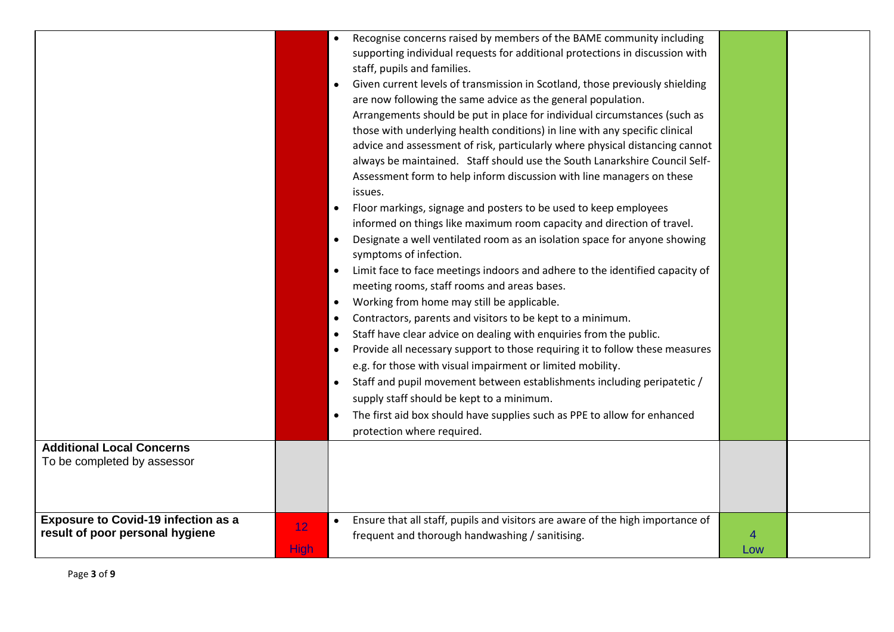|                                                                               |                   |                             | Recognise concerns raised by members of the BAME community including<br>supporting individual requests for additional protections in discussion with<br>staff, pupils and families.                                                                                                                                                                                                                                                                                                                                                                                                 |          |  |
|-------------------------------------------------------------------------------|-------------------|-----------------------------|-------------------------------------------------------------------------------------------------------------------------------------------------------------------------------------------------------------------------------------------------------------------------------------------------------------------------------------------------------------------------------------------------------------------------------------------------------------------------------------------------------------------------------------------------------------------------------------|----------|--|
|                                                                               |                   |                             | Given current levels of transmission in Scotland, those previously shielding<br>are now following the same advice as the general population.<br>Arrangements should be put in place for individual circumstances (such as<br>those with underlying health conditions) in line with any specific clinical<br>advice and assessment of risk, particularly where physical distancing cannot<br>always be maintained. Staff should use the South Lanarkshire Council Self-                                                                                                              |          |  |
|                                                                               |                   | $\bullet$                   | Assessment form to help inform discussion with line managers on these<br>issues.<br>Floor markings, signage and posters to be used to keep employees<br>informed on things like maximum room capacity and direction of travel.<br>Designate a well ventilated room as an isolation space for anyone showing<br>symptoms of infection.                                                                                                                                                                                                                                               |          |  |
|                                                                               |                   | $\bullet$<br>٠<br>$\bullet$ | Limit face to face meetings indoors and adhere to the identified capacity of<br>meeting rooms, staff rooms and areas bases.<br>Working from home may still be applicable.<br>Contractors, parents and visitors to be kept to a minimum.<br>Staff have clear advice on dealing with enquiries from the public.<br>Provide all necessary support to those requiring it to follow these measures<br>e.g. for those with visual impairment or limited mobility.<br>Staff and pupil movement between establishments including peripatetic /<br>supply staff should be kept to a minimum. |          |  |
|                                                                               |                   |                             | The first aid box should have supplies such as PPE to allow for enhanced<br>protection where required.                                                                                                                                                                                                                                                                                                                                                                                                                                                                              |          |  |
| <b>Additional Local Concerns</b><br>To be completed by assessor               |                   |                             |                                                                                                                                                                                                                                                                                                                                                                                                                                                                                                                                                                                     |          |  |
| <b>Exposure to Covid-19 infection as a</b><br>result of poor personal hygiene | 12<br><b>High</b> |                             | Ensure that all staff, pupils and visitors are aware of the high importance of<br>frequent and thorough handwashing / sanitising.                                                                                                                                                                                                                                                                                                                                                                                                                                                   | 4<br>Low |  |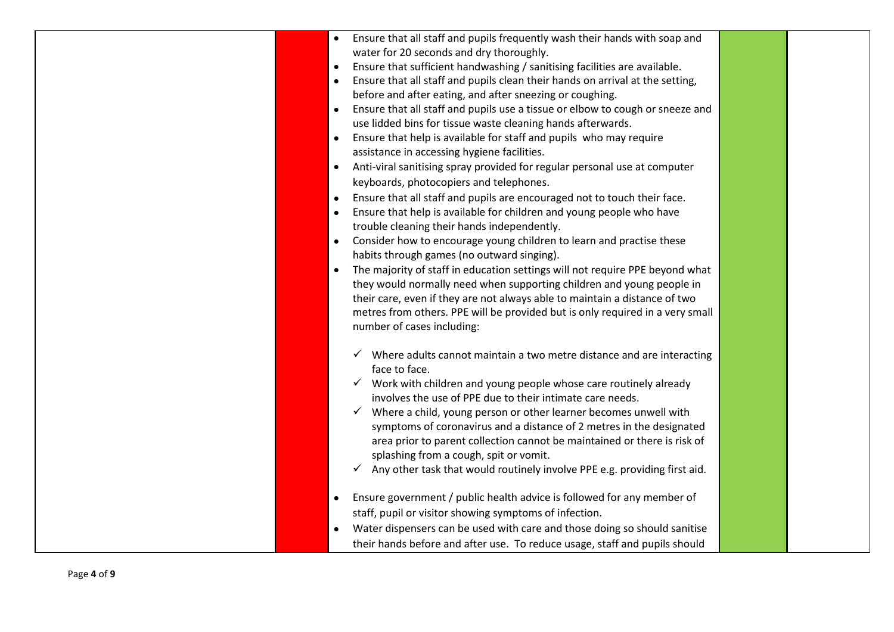| Ensure that all staff and pupils frequently wash their hands with soap and<br>water for 20 seconds and dry thoroughly.<br>Ensure that sufficient handwashing / sanitising facilities are available.<br>$\bullet$<br>Ensure that all staff and pupils clean their hands on arrival at the setting,<br>$\bullet$<br>before and after eating, and after sneezing or coughing.<br>Ensure that all staff and pupils use a tissue or elbow to cough or sneeze and<br>$\bullet$                                                                                                                                                                                                             |  |
|--------------------------------------------------------------------------------------------------------------------------------------------------------------------------------------------------------------------------------------------------------------------------------------------------------------------------------------------------------------------------------------------------------------------------------------------------------------------------------------------------------------------------------------------------------------------------------------------------------------------------------------------------------------------------------------|--|
| use lidded bins for tissue waste cleaning hands afterwards.<br>Ensure that help is available for staff and pupils who may require<br>$\bullet$<br>assistance in accessing hygiene facilities.<br>Anti-viral sanitising spray provided for regular personal use at computer<br>$\bullet$<br>keyboards, photocopiers and telephones.                                                                                                                                                                                                                                                                                                                                                   |  |
| Ensure that all staff and pupils are encouraged not to touch their face.<br>$\bullet$<br>Ensure that help is available for children and young people who have<br>trouble cleaning their hands independently.<br>Consider how to encourage young children to learn and practise these<br>$\bullet$<br>habits through games (no outward singing).<br>The majority of staff in education settings will not require PPE beyond what<br>$\bullet$<br>they would normally need when supporting children and young people in<br>their care, even if they are not always able to maintain a distance of two<br>metres from others. PPE will be provided but is only required in a very small |  |
| number of cases including:<br>Where adults cannot maintain a two metre distance and are interacting<br>face to face.<br>$\checkmark$ Work with children and young people whose care routinely already<br>involves the use of PPE due to their intimate care needs.<br>$\checkmark$ Where a child, young person or other learner becomes unwell with<br>symptoms of coronavirus and a distance of 2 metres in the designated<br>area prior to parent collection cannot be maintained or there is risk of<br>splashing from a cough, spit or vomit.                                                                                                                                    |  |
| $\checkmark$ Any other task that would routinely involve PPE e.g. providing first aid.<br>Ensure government / public health advice is followed for any member of<br>staff, pupil or visitor showing symptoms of infection.<br>Water dispensers can be used with care and those doing so should sanitise<br>their hands before and after use. To reduce usage, staff and pupils should                                                                                                                                                                                                                                                                                                |  |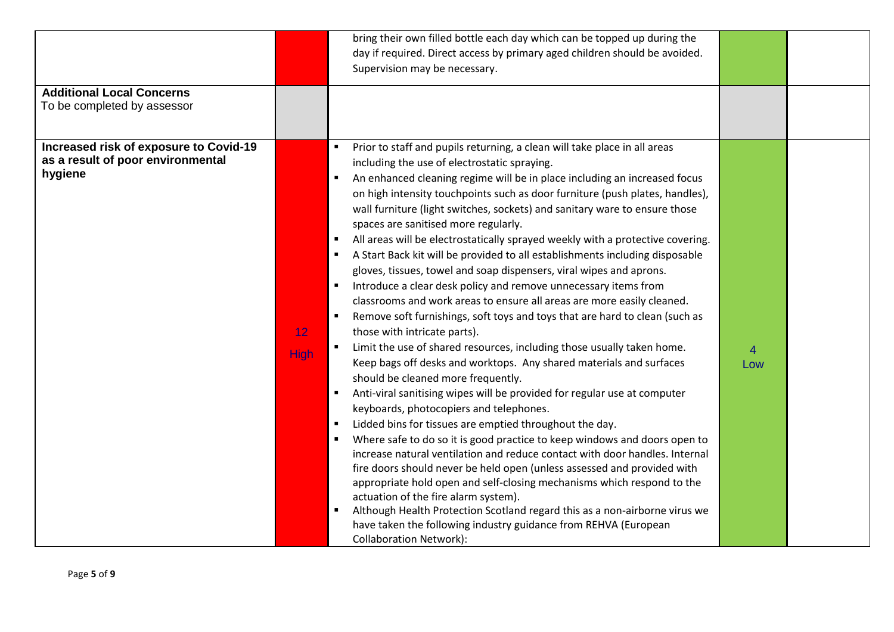|                                        |             | bring their own filled bottle each day which can be topped up during the<br>day if required. Direct access by primary aged children should be avoided. |     |  |
|----------------------------------------|-------------|--------------------------------------------------------------------------------------------------------------------------------------------------------|-----|--|
|                                        |             | Supervision may be necessary.                                                                                                                          |     |  |
| <b>Additional Local Concerns</b>       |             |                                                                                                                                                        |     |  |
| To be completed by assessor            |             |                                                                                                                                                        |     |  |
|                                        |             |                                                                                                                                                        |     |  |
| Increased risk of exposure to Covid-19 |             | Prior to staff and pupils returning, a clean will take place in all areas                                                                              |     |  |
| as a result of poor environmental      |             | including the use of electrostatic spraying.                                                                                                           |     |  |
| hygiene                                |             | An enhanced cleaning regime will be in place including an increased focus                                                                              |     |  |
|                                        |             | on high intensity touchpoints such as door furniture (push plates, handles),                                                                           |     |  |
|                                        |             | wall furniture (light switches, sockets) and sanitary ware to ensure those                                                                             |     |  |
|                                        |             | spaces are sanitised more regularly.                                                                                                                   |     |  |
|                                        |             | All areas will be electrostatically sprayed weekly with a protective covering.                                                                         |     |  |
|                                        |             | A Start Back kit will be provided to all establishments including disposable                                                                           |     |  |
|                                        |             | gloves, tissues, towel and soap dispensers, viral wipes and aprons.                                                                                    |     |  |
|                                        |             | Introduce a clear desk policy and remove unnecessary items from                                                                                        |     |  |
|                                        |             | classrooms and work areas to ensure all areas are more easily cleaned.                                                                                 |     |  |
|                                        |             | Remove soft furnishings, soft toys and toys that are hard to clean (such as                                                                            |     |  |
|                                        | 12          | those with intricate parts).                                                                                                                           |     |  |
|                                        | <b>High</b> | Limit the use of shared resources, including those usually taken home.                                                                                 | 4   |  |
|                                        |             | Keep bags off desks and worktops. Any shared materials and surfaces                                                                                    | Low |  |
|                                        |             | should be cleaned more frequently.                                                                                                                     |     |  |
|                                        |             | Anti-viral sanitising wipes will be provided for regular use at computer                                                                               |     |  |
|                                        |             | keyboards, photocopiers and telephones.                                                                                                                |     |  |
|                                        |             | Lidded bins for tissues are emptied throughout the day.<br>$\blacksquare$                                                                              |     |  |
|                                        |             | Where safe to do so it is good practice to keep windows and doors open to                                                                              |     |  |
|                                        |             | increase natural ventilation and reduce contact with door handles. Internal<br>fire doors should never be held open (unless assessed and provided with |     |  |
|                                        |             | appropriate hold open and self-closing mechanisms which respond to the                                                                                 |     |  |
|                                        |             | actuation of the fire alarm system).                                                                                                                   |     |  |
|                                        |             | Although Health Protection Scotland regard this as a non-airborne virus we                                                                             |     |  |
|                                        |             | have taken the following industry guidance from REHVA (European                                                                                        |     |  |
|                                        |             | <b>Collaboration Network):</b>                                                                                                                         |     |  |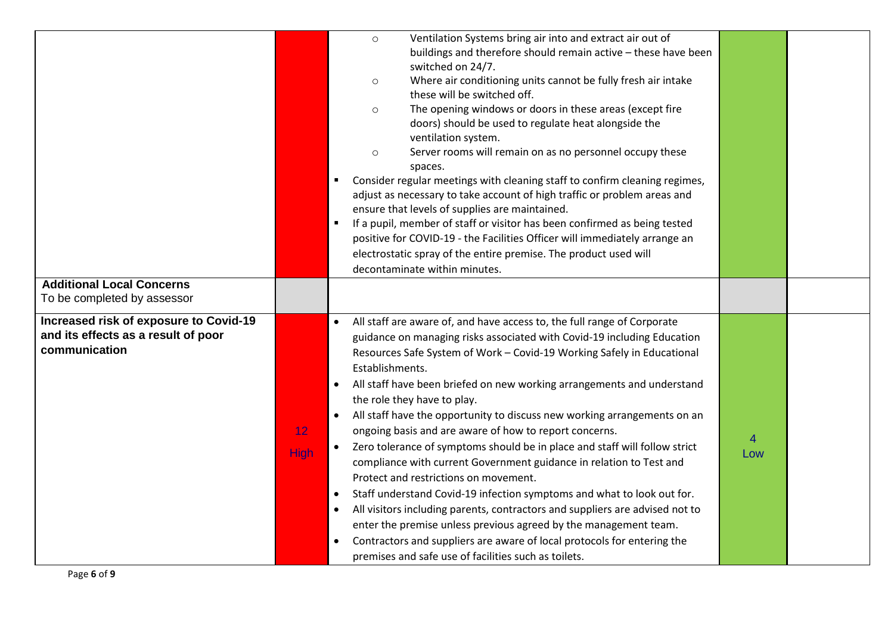|                                                                                                |                                | Ventilation Systems bring air into and extract air out of<br>$\circ$<br>buildings and therefore should remain active - these have been<br>switched on 24/7.<br>Where air conditioning units cannot be fully fresh air intake<br>$\circ$<br>these will be switched off.<br>The opening windows or doors in these areas (except fire<br>$\circ$<br>doors) should be used to regulate heat alongside the<br>ventilation system.<br>Server rooms will remain on as no personnel occupy these<br>$\circ$<br>spaces.<br>Consider regular meetings with cleaning staff to confirm cleaning regimes,                                                                                                                                                                                                                                                                                                                                                                                                                                                                                                                                                |          |  |
|------------------------------------------------------------------------------------------------|--------------------------------|---------------------------------------------------------------------------------------------------------------------------------------------------------------------------------------------------------------------------------------------------------------------------------------------------------------------------------------------------------------------------------------------------------------------------------------------------------------------------------------------------------------------------------------------------------------------------------------------------------------------------------------------------------------------------------------------------------------------------------------------------------------------------------------------------------------------------------------------------------------------------------------------------------------------------------------------------------------------------------------------------------------------------------------------------------------------------------------------------------------------------------------------|----------|--|
|                                                                                                |                                | adjust as necessary to take account of high traffic or problem areas and<br>ensure that levels of supplies are maintained.<br>If a pupil, member of staff or visitor has been confirmed as being tested<br>$\blacksquare$<br>positive for COVID-19 - the Facilities Officer will immediately arrange an<br>electrostatic spray of the entire premise. The product used will<br>decontaminate within minutes.                                                                                                                                                                                                                                                                                                                                                                                                                                                                                                                                                                                                                                                                                                                                |          |  |
| <b>Additional Local Concerns</b><br>To be completed by assessor                                |                                |                                                                                                                                                                                                                                                                                                                                                                                                                                                                                                                                                                                                                                                                                                                                                                                                                                                                                                                                                                                                                                                                                                                                             |          |  |
| Increased risk of exposure to Covid-19<br>and its effects as a result of poor<br>communication | 12 <sub>2</sub><br><b>High</b> | All staff are aware of, and have access to, the full range of Corporate<br>$\bullet$<br>guidance on managing risks associated with Covid-19 including Education<br>Resources Safe System of Work - Covid-19 Working Safely in Educational<br>Establishments.<br>All staff have been briefed on new working arrangements and understand<br>$\bullet$<br>the role they have to play.<br>All staff have the opportunity to discuss new working arrangements on an<br>$\bullet$<br>ongoing basis and are aware of how to report concerns.<br>Zero tolerance of symptoms should be in place and staff will follow strict<br>compliance with current Government guidance in relation to Test and<br>Protect and restrictions on movement.<br>Staff understand Covid-19 infection symptoms and what to look out for.<br>$\bullet$<br>All visitors including parents, contractors and suppliers are advised not to<br>$\bullet$<br>enter the premise unless previous agreed by the management team.<br>Contractors and suppliers are aware of local protocols for entering the<br>$\bullet$<br>premises and safe use of facilities such as toilets. | 4<br>Low |  |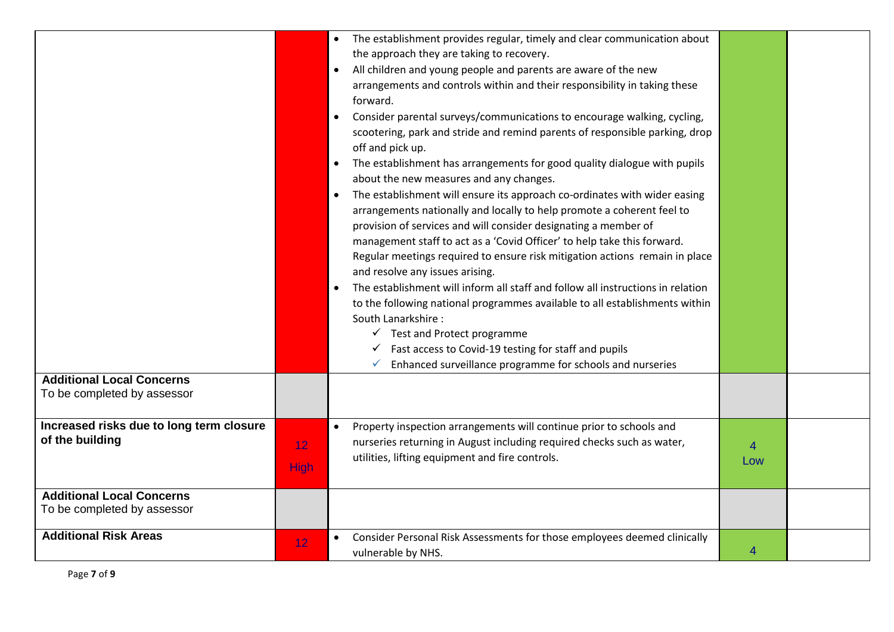| <b>Additional Local Concerns</b><br>To be completed by assessor |                                | The establishment provides regular, timely and clear communication about<br>the approach they are taking to recovery.<br>All children and young people and parents are aware of the new<br>$\bullet$<br>arrangements and controls within and their responsibility in taking these<br>forward.<br>Consider parental surveys/communications to encourage walking, cycling,<br>scootering, park and stride and remind parents of responsible parking, drop<br>off and pick up.<br>The establishment has arrangements for good quality dialogue with pupils<br>$\bullet$<br>about the new measures and any changes.<br>The establishment will ensure its approach co-ordinates with wider easing<br>$\bullet$<br>arrangements nationally and locally to help promote a coherent feel to<br>provision of services and will consider designating a member of<br>management staff to act as a 'Covid Officer' to help take this forward.<br>Regular meetings required to ensure risk mitigation actions remain in place<br>and resolve any issues arising.<br>The establishment will inform all staff and follow all instructions in relation<br>to the following national programmes available to all establishments within<br>South Lanarkshire:<br>$\checkmark$ Test and Protect programme<br>Fast access to Covid-19 testing for staff and pupils<br>Enhanced surveillance programme for schools and nurseries<br>✓ |                       |  |
|-----------------------------------------------------------------|--------------------------------|------------------------------------------------------------------------------------------------------------------------------------------------------------------------------------------------------------------------------------------------------------------------------------------------------------------------------------------------------------------------------------------------------------------------------------------------------------------------------------------------------------------------------------------------------------------------------------------------------------------------------------------------------------------------------------------------------------------------------------------------------------------------------------------------------------------------------------------------------------------------------------------------------------------------------------------------------------------------------------------------------------------------------------------------------------------------------------------------------------------------------------------------------------------------------------------------------------------------------------------------------------------------------------------------------------------------------------------------------------------------------------------------------------------|-----------------------|--|
| Increased risks due to long term closure<br>of the building     | 12 <sub>2</sub><br><b>High</b> | Property inspection arrangements will continue prior to schools and<br>$\bullet$<br>nurseries returning in August including required checks such as water,<br>utilities, lifting equipment and fire controls.                                                                                                                                                                                                                                                                                                                                                                                                                                                                                                                                                                                                                                                                                                                                                                                                                                                                                                                                                                                                                                                                                                                                                                                                    | $\overline{4}$<br>Low |  |
| <b>Additional Local Concerns</b><br>To be completed by assessor |                                |                                                                                                                                                                                                                                                                                                                                                                                                                                                                                                                                                                                                                                                                                                                                                                                                                                                                                                                                                                                                                                                                                                                                                                                                                                                                                                                                                                                                                  |                       |  |
| <b>Additional Risk Areas</b>                                    | 12                             | Consider Personal Risk Assessments for those employees deemed clinically<br>vulnerable by NHS.                                                                                                                                                                                                                                                                                                                                                                                                                                                                                                                                                                                                                                                                                                                                                                                                                                                                                                                                                                                                                                                                                                                                                                                                                                                                                                                   | 4                     |  |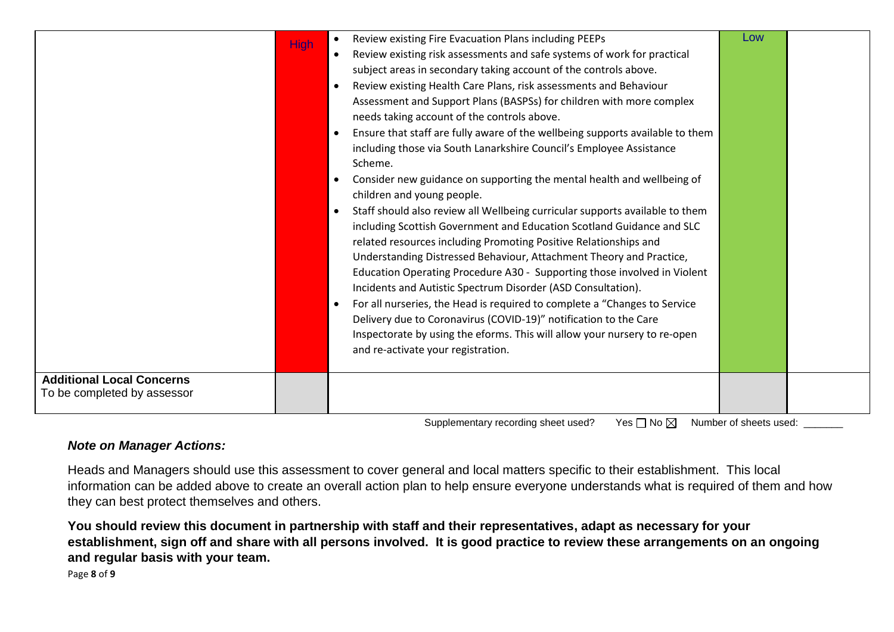| <b>High</b>                      | Review existing Fire Evacuation Plans including PEEPs                                                           | Low |  |
|----------------------------------|-----------------------------------------------------------------------------------------------------------------|-----|--|
|                                  | Review existing risk assessments and safe systems of work for practical                                         |     |  |
|                                  | subject areas in secondary taking account of the controls above.                                                |     |  |
|                                  | Review existing Health Care Plans, risk assessments and Behaviour                                               |     |  |
|                                  | Assessment and Support Plans (BASPSs) for children with more complex                                            |     |  |
|                                  | needs taking account of the controls above.                                                                     |     |  |
|                                  | Ensure that staff are fully aware of the wellbeing supports available to them                                   |     |  |
|                                  | including those via South Lanarkshire Council's Employee Assistance                                             |     |  |
|                                  | Scheme.                                                                                                         |     |  |
|                                  | Consider new guidance on supporting the mental health and wellbeing of                                          |     |  |
|                                  | children and young people.                                                                                      |     |  |
|                                  | Staff should also review all Wellbeing curricular supports available to them                                    |     |  |
|                                  | including Scottish Government and Education Scotland Guidance and SLC                                           |     |  |
|                                  | related resources including Promoting Positive Relationships and                                                |     |  |
|                                  | Understanding Distressed Behaviour, Attachment Theory and Practice,                                             |     |  |
|                                  | Education Operating Procedure A30 - Supporting those involved in Violent                                        |     |  |
|                                  | Incidents and Autistic Spectrum Disorder (ASD Consultation).                                                    |     |  |
|                                  | For all nurseries, the Head is required to complete a "Changes to Service                                       |     |  |
|                                  | Delivery due to Coronavirus (COVID-19)" notification to the Care                                                |     |  |
|                                  | Inspectorate by using the eforms. This will allow your nursery to re-open<br>and re-activate your registration. |     |  |
|                                  |                                                                                                                 |     |  |
| <b>Additional Local Concerns</b> |                                                                                                                 |     |  |
| To be completed by assessor      |                                                                                                                 |     |  |
|                                  |                                                                                                                 |     |  |

Supplementary recording sheet used? Yes  $\Box$  No  $\boxtimes$  Number of sheets used: \_\_\_\_\_\_

## *Note on Manager Actions:*

Heads and Managers should use this assessment to cover general and local matters specific to their establishment. This local information can be added above to create an overall action plan to help ensure everyone understands what is required of them and how they can best protect themselves and others.

**You should review this document in partnership with staff and their representatives, adapt as necessary for your establishment, sign off and share with all persons involved. It is good practice to review these arrangements on an ongoing and regular basis with your team.**

Page **8** of **9**